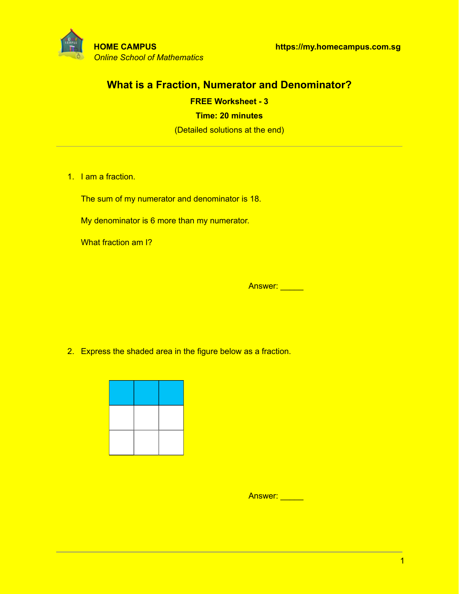

# **What is a Fraction, Numerator and Denominator?**

**FREE Worksheet - 3 Time: 20 minutes** (Detailed solutions at the end)

1. I am a fraction.

The sum of my numerator and denominator is 18.

My denominator is 6 more than my numerator.

What fraction am I?

Answer: \_\_\_\_\_\_

2. Express the shaded area in the figure below as a fraction.



Answer: **Answer:**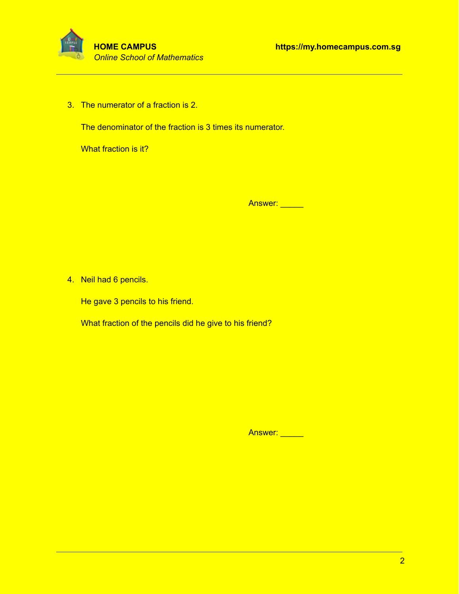

3. The numerator of a fraction is 2.

The denominator of the fraction is 3 times its numerator.

What fraction is it?

Answer: \_\_\_\_\_

4. Neil had 6 pencils.

He gave 3 pencils to his friend.

What fraction of the pencils did he give to his friend?

Answer: \_\_\_\_\_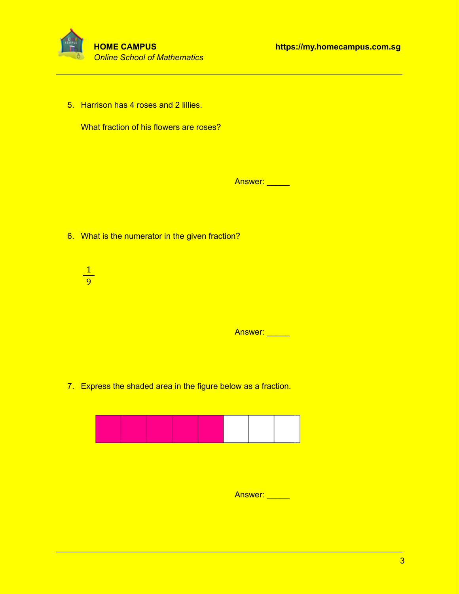

5. Harrison has 4 roses and 2 lillies.

What fraction of his flowers are roses?

Answer: \_\_\_\_\_

- 6. What is the numerator in the given fraction?
	- 1 9

Answer: \_\_\_\_\_

7. Express the shaded area in the figure below as a fraction.



Answer: \_\_\_\_\_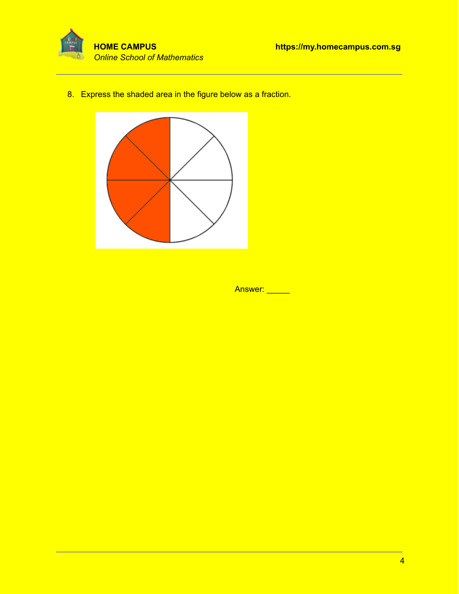



8. Express the shaded area in the figure below as a fraction.



Answer: \_\_\_\_\_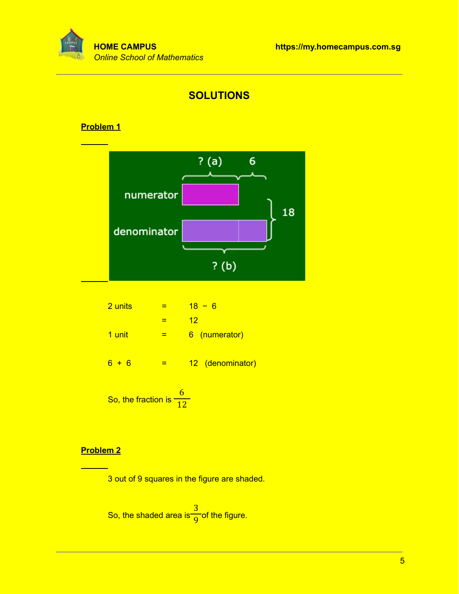



## **Problem 1**



| 2 units | =    | $18 - 6$         |
|---------|------|------------------|
| =       | $12$ |                  |
| 1 unit  | =    | 6 (numerator)    |
| 6 + 6   | =    | 12 (denominator) |

So, the fraction is 6 12

## **Problem 2**

3 out of 9 squares in the figure are shaded.

So, the shaded area is 
$$
\frac{3}{9}
$$
 of the figure.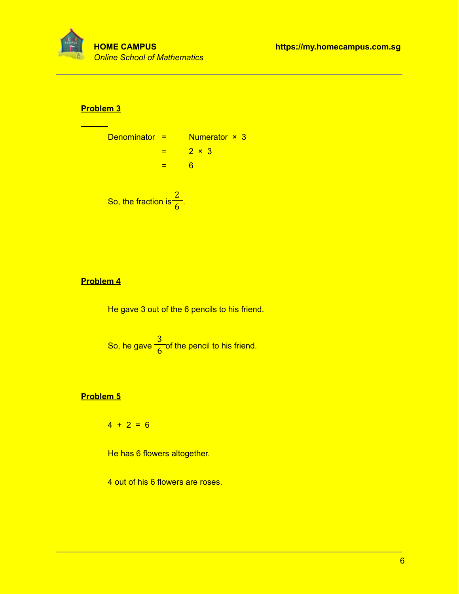

### **Problem 3**

| Denominator =                       | Numerator × 3 |
|-------------------------------------|---------------|
| =                                   | $2 \times 3$  |
| =                                   | 6             |
| So, the fraction is $\frac{2}{6}$ . |               |

### **Problem 4**

He gave 3 out of the 6 pencils to his friend.

So, he gave 
$$
\frac{3}{6}
$$
 of the pencil to his friend.

## **Problem 5**

 $4 + 2 = 6$ 

He has 6 flowers altogether.

4 out of his 6 flowers are roses.